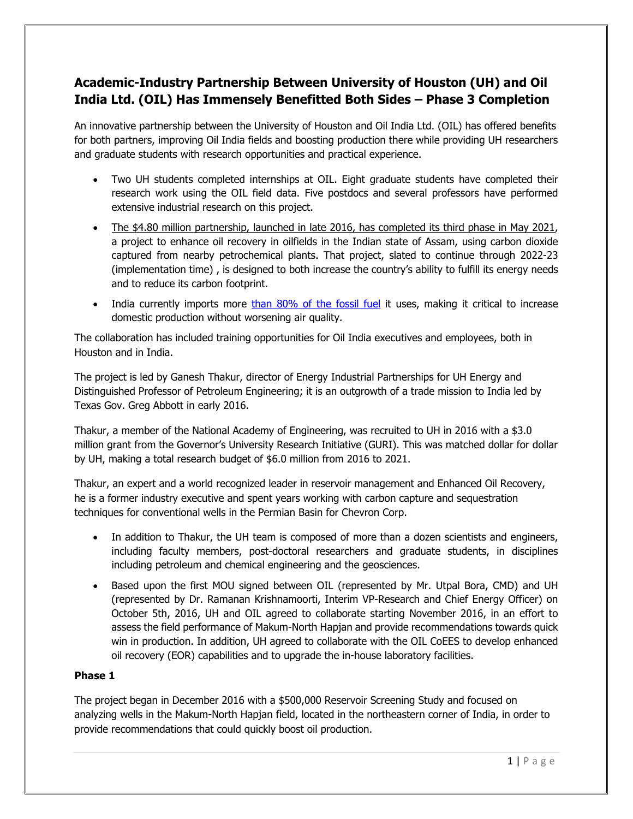# **Academic-Industry Partnership Between University of Houston (UH) and Oil India Ltd. (OIL) Has Immensely Benefitted Both Sides – Phase 3 Completion**

An innovative partnership between the University of Houston and Oil India Ltd. (OIL) has offered benefits for both partners, improving Oil India fields and boosting production there while providing UH researchers and graduate students with research opportunities and practical experience.

- Two UH students completed internships at OIL. Eight graduate students have completed their research work using the OIL field data. Five postdocs and several professors have performed extensive industrial research on this project.
- The \$4.80 million partnership, launched in late 2016, has completed its third phase in May 2021, a project to enhance oil recovery in oilfields in the Indian state of Assam, using carbon dioxide captured from nearby petrochemical plants. That project, slated to continue through 2022-23 (implementation time) , is designed to both increase the country's ability to fulfill its energy needs and to reduce its carbon footprint.
- India currently imports more [than 80% of the fossil fuel](https://economictimes.indiatimes.com/industry/energy/oil-gas/indias-oil-import-dependence-jumps-to-84-pc/articleshow/69183923.cms?from=mdr) it uses, making it critical to increase domestic production without worsening air quality.

The collaboration has included training opportunities for Oil India executives and employees, both in Houston and in India.

The project is led by Ganesh Thakur, director of Energy Industrial Partnerships for UH Energy and Distinguished Professor of Petroleum Engineering; it is an outgrowth of a trade mission to India led by Texas Gov. Greg Abbott in early 2016.

Thakur, a member of the National Academy of Engineering, was recruited to UH in 2016 with a \$3.0 million grant from the Governor's University Research Initiative (GURI). This was matched dollar for dollar by UH, making a total research budget of \$6.0 million from 2016 to 2021.

Thakur, an expert and a world recognized leader in reservoir management and Enhanced Oil Recovery, he is a former industry executive and spent years working with carbon capture and sequestration techniques for conventional wells in the Permian Basin for Chevron Corp.

- In addition to Thakur, the UH team is composed of more than a dozen scientists and engineers, including faculty members, post-doctoral researchers and graduate students, in disciplines including petroleum and chemical engineering and the geosciences.
- Based upon the first MOU signed between OIL (represented by Mr. Utpal Bora, CMD) and UH (represented by Dr. Ramanan Krishnamoorti, Interim VP-Research and Chief Energy Officer) on October 5th, 2016, UH and OIL agreed to collaborate starting November 2016, in an effort to assess the field performance of Makum-North Hapjan and provide recommendations towards quick win in production. In addition, UH agreed to collaborate with the OIL CoEES to develop enhanced oil recovery (EOR) capabilities and to upgrade the in-house laboratory facilities.

### **Phase 1**

The project began in December 2016 with a \$500,000 Reservoir Screening Study and focused on analyzing wells in the Makum-North Hapjan field, located in the northeastern corner of India, in order to provide recommendations that could quickly boost oil production.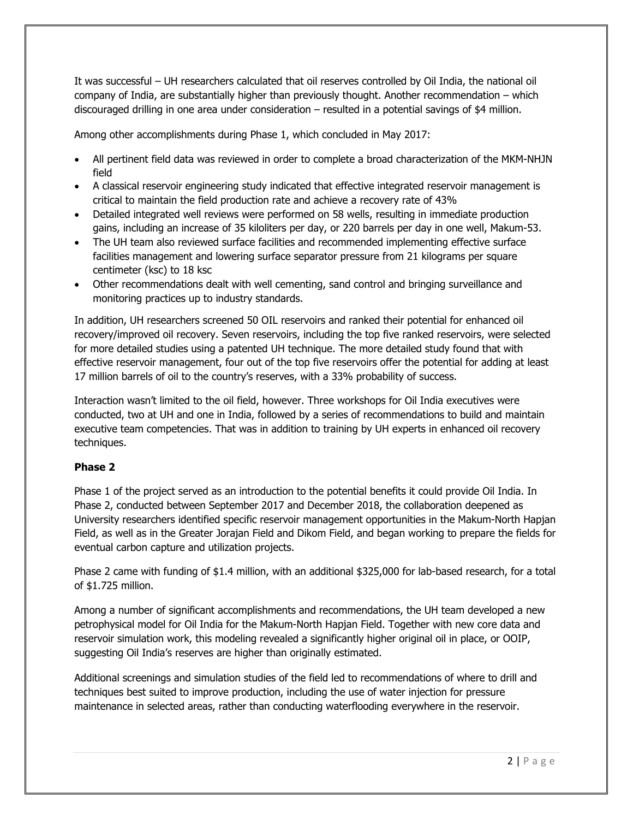It was successful – UH researchers calculated that oil reserves controlled by Oil India, the national oil company of India, are substantially higher than previously thought. Another recommendation – which discouraged drilling in one area under consideration – resulted in a potential savings of \$4 million.

Among other accomplishments during Phase 1, which concluded in May 2017:

- All pertinent field data was reviewed in order to complete a broad characterization of the MKM-NHJN field
- A classical reservoir engineering study indicated that effective integrated reservoir management is critical to maintain the field production rate and achieve a recovery rate of 43%
- Detailed integrated well reviews were performed on 58 wells, resulting in immediate production gains, including an increase of 35 kiloliters per day, or 220 barrels per day in one well, Makum-53.
- The UH team also reviewed surface facilities and recommended implementing effective surface facilities management and lowering surface separator pressure from 21 kilograms per square centimeter (ksc) to 18 ksc
- Other recommendations dealt with well cementing, sand control and bringing surveillance and monitoring practices up to industry standards.

In addition, UH researchers screened 50 OIL reservoirs and ranked their potential for enhanced oil recovery/improved oil recovery. Seven reservoirs, including the top five ranked reservoirs, were selected for more detailed studies using a patented UH technique. The more detailed study found that with effective reservoir management, four out of the top five reservoirs offer the potential for adding at least 17 million barrels of oil to the country's reserves, with a 33% probability of success.

Interaction wasn't limited to the oil field, however. Three workshops for Oil India executives were conducted, two at UH and one in India, followed by a series of recommendations to build and maintain executive team competencies. That was in addition to training by UH experts in enhanced oil recovery techniques.

### **Phase 2**

Phase 1 of the project served as an introduction to the potential benefits it could provide Oil India. In Phase 2, conducted between September 2017 and December 2018, the collaboration deepened as University researchers identified specific reservoir management opportunities in the Makum-North Hapjan Field, as well as in the Greater Jorajan Field and Dikom Field, and began working to prepare the fields for eventual carbon capture and utilization projects.

Phase 2 came with funding of \$1.4 million, with an additional \$325,000 for lab-based research, for a total of \$1.725 million.

Among a number of significant accomplishments and recommendations, the UH team developed a new petrophysical model for Oil India for the Makum-North Hapjan Field. Together with new core data and reservoir simulation work, this modeling revealed a significantly higher original oil in place, or OOIP, suggesting Oil India's reserves are higher than originally estimated.

Additional screenings and simulation studies of the field led to recommendations of where to drill and techniques best suited to improve production, including the use of water injection for pressure maintenance in selected areas, rather than conducting waterflooding everywhere in the reservoir.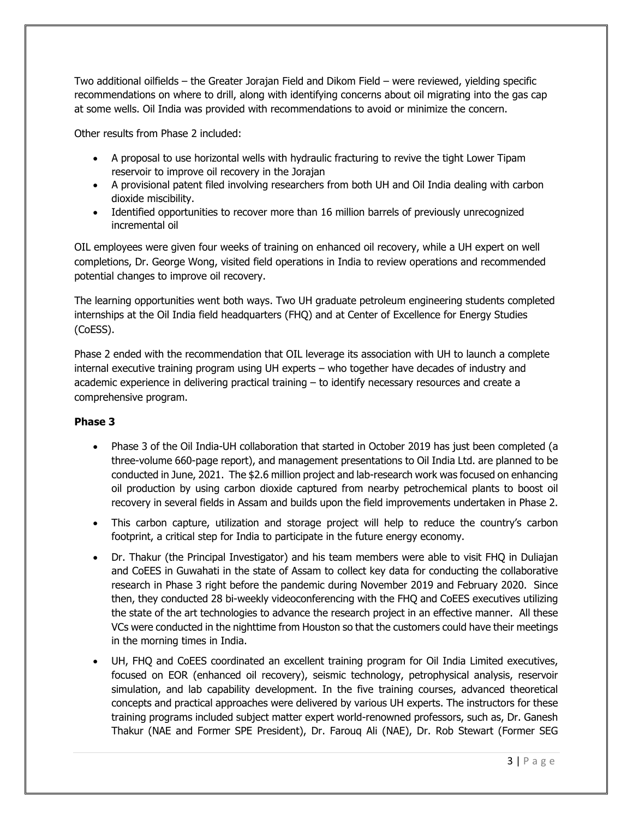Two additional oilfields – the Greater Jorajan Field and Dikom Field – were reviewed, yielding specific recommendations on where to drill, along with identifying concerns about oil migrating into the gas cap at some wells. Oil India was provided with recommendations to avoid or minimize the concern.

Other results from Phase 2 included:

- A proposal to use horizontal wells with hydraulic fracturing to revive the tight Lower Tipam reservoir to improve oil recovery in the Jorajan
- A provisional patent filed involving researchers from both UH and Oil India dealing with carbon dioxide miscibility.
- Identified opportunities to recover more than 16 million barrels of previously unrecognized incremental oil

OIL employees were given four weeks of training on enhanced oil recovery, while a UH expert on well completions, Dr. George Wong, visited field operations in India to review operations and recommended potential changes to improve oil recovery.

The learning opportunities went both ways. Two UH graduate petroleum engineering students completed internships at the Oil India field headquarters (FHQ) and at Center of Excellence for Energy Studies (CoESS).

Phase 2 ended with the recommendation that OIL leverage its association with UH to launch a complete internal executive training program using UH experts – who together have decades of industry and academic experience in delivering practical training – to identify necessary resources and create a comprehensive program.

### **Phase 3**

- Phase 3 of the Oil India-UH collaboration that started in October 2019 has just been completed (a three-volume 660-page report), and management presentations to Oil India Ltd. are planned to be conducted in June, 2021. The \$2.6 million project and lab-research work was focused on enhancing oil production by using carbon dioxide captured from nearby petrochemical plants to boost oil recovery in several fields in Assam and builds upon the field improvements undertaken in Phase 2.
- This carbon capture, utilization and storage project will help to reduce the country's carbon footprint, a critical step for India to participate in the future energy economy.
- Dr. Thakur (the Principal Investigator) and his team members were able to visit FHQ in Duliajan and CoEES in Guwahati in the state of Assam to collect key data for conducting the collaborative research in Phase 3 right before the pandemic during November 2019 and February 2020. Since then, they conducted 28 bi-weekly videoconferencing with the FHQ and CoEES executives utilizing the state of the art technologies to advance the research project in an effective manner. All these VCs were conducted in the nighttime from Houston so that the customers could have their meetings in the morning times in India.
- UH, FHQ and CoEES coordinated an excellent training program for Oil India Limited executives, focused on EOR (enhanced oil recovery), seismic technology, petrophysical analysis, reservoir simulation, and lab capability development. In the five training courses, advanced theoretical concepts and practical approaches were delivered by various UH experts. The instructors for these training programs included subject matter expert world-renowned professors, such as, Dr. Ganesh Thakur (NAE and Former SPE President), Dr. Farouq Ali (NAE), Dr. Rob Stewart (Former SEG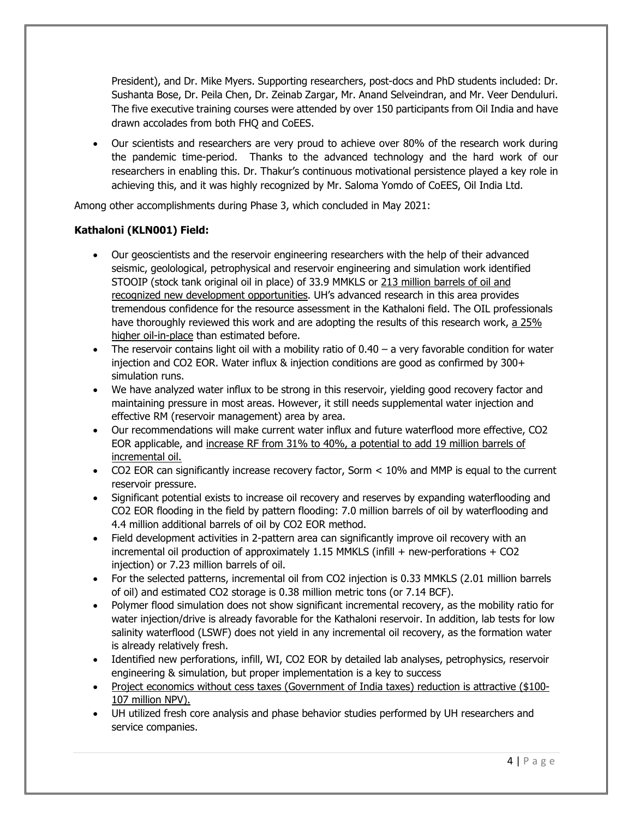President), and Dr. Mike Myers. Supporting researchers, post-docs and PhD students included: Dr. Sushanta Bose, Dr. Peila Chen, Dr. Zeinab Zargar, Mr. Anand Selveindran, and Mr. Veer Denduluri. The five executive training courses were attended by over 150 participants from Oil India and have drawn accolades from both FHQ and CoEES.

• Our scientists and researchers are very proud to achieve over 80% of the research work during the pandemic time-period. Thanks to the advanced technology and the hard work of our researchers in enabling this. Dr. Thakur's continuous motivational persistence played a key role in achieving this, and it was highly recognized by Mr. Saloma Yomdo of CoEES, Oil India Ltd.

Among other accomplishments during Phase 3, which concluded in May 2021:

### **Kathaloni (KLN001) Field:**

- Our geoscientists and the reservoir engineering researchers with the help of their advanced seismic, geolological, petrophysical and reservoir engineering and simulation work identified STOOIP (stock tank original oil in place) of 33.9 MMKLS or 213 million barrels of oil and recognized new development opportunities. UH's advanced research in this area provides tremendous confidence for the resource assessment in the Kathaloni field. The OIL professionals have thoroughly reviewed this work and are adopting the results of this research work, a 25% higher oil-in-place than estimated before.
- The reservoir contains light oil with a mobility ratio of  $0.40 a$  very favorable condition for water injection and CO2 EOR. Water influx & injection conditions are good as confirmed by 300+ simulation runs.
- We have analyzed water influx to be strong in this reservoir, yielding good recovery factor and maintaining pressure in most areas. However, it still needs supplemental water injection and effective RM (reservoir management) area by area.
- Our recommendations will make current water influx and future waterflood more effective, CO2 EOR applicable, and increase RF from 31% to 40%, a potential to add 19 million barrels of incremental oil.
- CO2 EOR can significantly increase recovery factor, Sorm  $<$  10% and MMP is equal to the current reservoir pressure.
- Significant potential exists to increase oil recovery and reserves by expanding waterflooding and CO2 EOR flooding in the field by pattern flooding: 7.0 million barrels of oil by waterflooding and 4.4 million additional barrels of oil by CO2 EOR method.
- Field development activities in 2-pattern area can significantly improve oil recovery with an incremental oil production of approximately 1.15 MMKLS (infill + new-perforations + CO2 injection) or 7.23 million barrels of oil.
- For the selected patterns, incremental oil from CO2 injection is 0.33 MMKLS (2.01 million barrels of oil) and estimated CO2 storage is 0.38 million metric tons (or 7.14 BCF).
- Polymer flood simulation does not show significant incremental recovery, as the mobility ratio for water injection/drive is already favorable for the Kathaloni reservoir. In addition, lab tests for low salinity waterflood (LSWF) does not yield in any incremental oil recovery, as the formation water is already relatively fresh.
- Identified new perforations, infill, WI, CO2 EOR by detailed lab analyses, petrophysics, reservoir engineering & simulation, but proper implementation is a key to success
- Project economics without cess taxes (Government of India taxes) reduction is attractive (\$100- 107 million NPV).
- UH utilized fresh core analysis and phase behavior studies performed by UH researchers and service companies.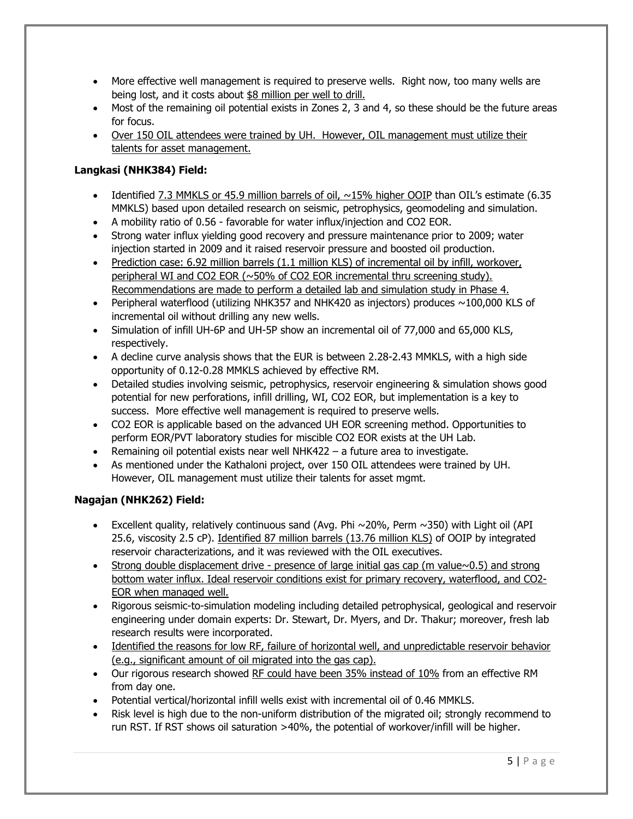- More effective well management is required to preserve wells. Right now, too many wells are being lost, and it costs about \$8 million per well to drill.
- Most of the remaining oil potential exists in Zones 2, 3 and 4, so these should be the future areas for focus.
- Over 150 OIL attendees were trained by UH. However, OIL management must utilize their talents for asset management.

## **Langkasi (NHK384) Field:**

- Identified 7.3 MMKLS or 45.9 million barrels of oil, ~15% higher OOIP than OIL's estimate (6.35 MMKLS) based upon detailed research on seismic, petrophysics, geomodeling and simulation.
- A mobility ratio of 0.56 favorable for water influx/injection and CO2 EOR.
- Strong water influx yielding good recovery and pressure maintenance prior to 2009; water injection started in 2009 and it raised reservoir pressure and boosted oil production.
- Prediction case: 6.92 million barrels (1.1 million KLS) of incremental oil by infill, workover, peripheral WI and CO2 EOR (~50% of CO2 EOR incremental thru screening study). Recommendations are made to perform a detailed lab and simulation study in Phase 4.
- Peripheral waterflood (utilizing NHK357 and NHK420 as injectors) produces  $\sim$ 100,000 KLS of incremental oil without drilling any new wells.
- Simulation of infill UH-6P and UH-5P show an incremental oil of 77,000 and 65,000 KLS, respectively.
- A decline curve analysis shows that the EUR is between 2.28-2.43 MMKLS, with a high side opportunity of 0.12-0.28 MMKLS achieved by effective RM.
- Detailed studies involving seismic, petrophysics, reservoir engineering & simulation shows good potential for new perforations, infill drilling, WI, CO2 EOR, but implementation is a key to success. More effective well management is required to preserve wells.
- CO2 EOR is applicable based on the advanced UH EOR screening method. Opportunities to perform EOR/PVT laboratory studies for miscible CO2 EOR exists at the UH Lab.
- Remaining oil potential exists near well NHK422 a future area to investigate.
- As mentioned under the Kathaloni project, over 150 OIL attendees were trained by UH. However, OIL management must utilize their talents for asset mgmt.

### **Nagajan (NHK262) Field:**

- Excellent quality, relatively continuous sand (Avg. Phi  $\sim$ 20%, Perm  $\sim$ 350) with Light oil (API 25.6, viscosity 2.5 cP). Identified 87 million barrels (13.76 million KLS) of OOIP by integrated reservoir characterizations, and it was reviewed with the OIL executives.
- Strong double displacement drive presence of large initial gas cap (m value $\sim$ 0.5) and strong bottom water influx. Ideal reservoir conditions exist for primary recovery, waterflood, and CO2- EOR when managed well.
- Rigorous seismic-to-simulation modeling including detailed petrophysical, geological and reservoir engineering under domain experts: Dr. Stewart, Dr. Myers, and Dr. Thakur; moreover, fresh lab research results were incorporated.
- Identified the reasons for low RF, failure of horizontal well, and unpredictable reservoir behavior (e.g., significant amount of oil migrated into the gas cap).
- Our rigorous research showed RF could have been 35% instead of 10% from an effective RM from day one.
- Potential vertical/horizontal infill wells exist with incremental oil of 0.46 MMKLS.
- Risk level is high due to the non-uniform distribution of the migrated oil; strongly recommend to run RST. If RST shows oil saturation >40%, the potential of workover/infill will be higher.